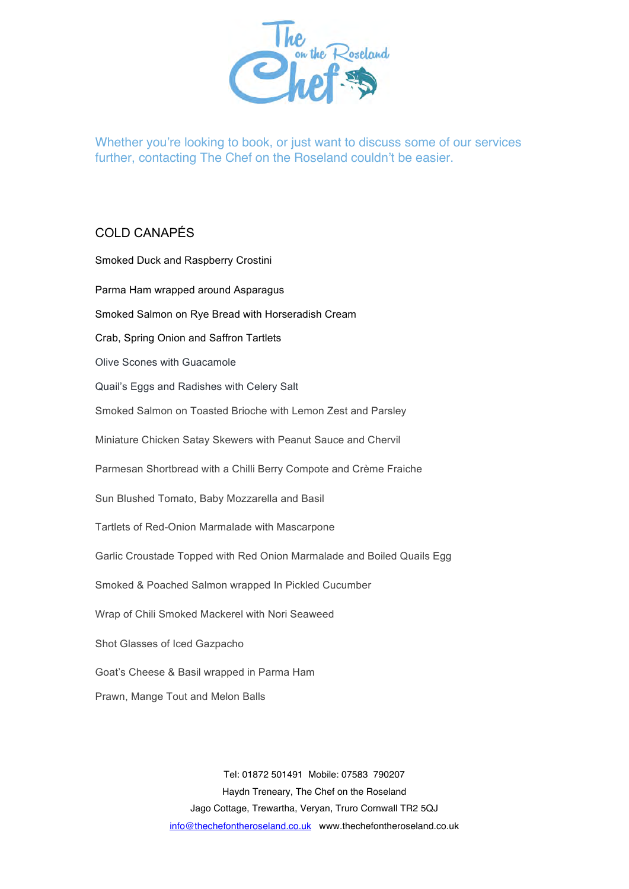

Whether you're looking to book, or just want to discuss some of our services further, contacting The Chef on the Roseland couldn't be easier.

## COLD CANAPÉS

| Smoked Duck and Raspberry Crostini                                     |
|------------------------------------------------------------------------|
| Parma Ham wrapped around Asparagus                                     |
| Smoked Salmon on Rye Bread with Horseradish Cream                      |
| Crab, Spring Onion and Saffron Tartlets                                |
| Olive Scones with Guacamole                                            |
| Quail's Eggs and Radishes with Celery Salt                             |
| Smoked Salmon on Toasted Brioche with Lemon Zest and Parsley           |
| Miniature Chicken Satay Skewers with Peanut Sauce and Chervil          |
| Parmesan Shortbread with a Chilli Berry Compote and Crème Fraiche      |
| Sun Blushed Tomato, Baby Mozzarella and Basil                          |
| Tartlets of Red-Onion Marmalade with Mascarpone                        |
| Garlic Croustade Topped with Red Onion Marmalade and Boiled Quails Egg |
| Smoked & Poached Salmon wrapped In Pickled Cucumber                    |
| Wrap of Chili Smoked Mackerel with Nori Seaweed                        |
| Shot Glasses of Iced Gazpacho                                          |
| Goat's Cheese & Basil wrapped in Parma Ham                             |
| Prawn, Mange Tout and Melon Balls                                      |

Tel: 01872 501491 Mobile: 07583 790207 Haydn Treneary, The Chef on the Roseland Jago Cottage, Trewartha, Veryan, Truro Cornwall TR2 5QJ info@thechefontheroseland.co.uk www.thechefontheroseland.co.uk